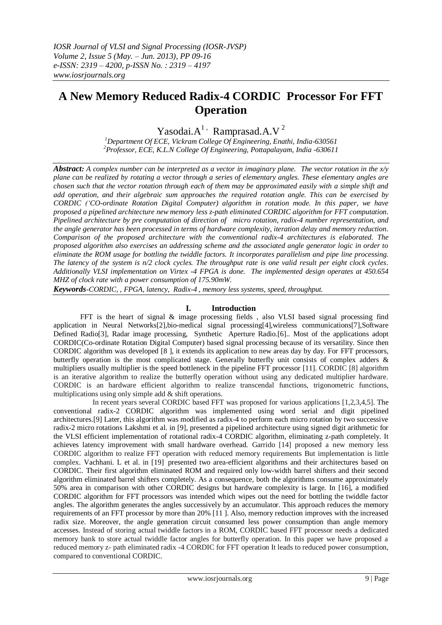# **A New Memory Reduced Radix-4 CORDIC Processor For FFT Operation**

Yasodai. $A^1$  Ramprasad. $A.V^2$ 

*<sup>1</sup>Department Of ECE, Vickram College Of Engineering, Enathi, India-630561 <sup>2</sup>Professor, ECE, K.L.N College Of Engineering, Pottapalayam, India -630611*

*Abstract: A complex number can be interpreted as a vector in imaginary plane. The vector rotation in the x/y plane can be realized by rotating a vector through a series of elementary angles. These elementary angles are chosen such that the vector rotation through each of them may be approximated easily with a simple shift and add operation, and their algebraic sum approaches the required rotation angle. This can be exercised by CORDIC ('CO-ordinate Rotation Digital Computer) algorithm in rotation mode. In this paper, we have proposed a pipelined architecture new memory less z-path eliminated CORDIC algorithm for FFT computation. Pipelined architecture by pre computation of direction of micro rotation, radix-4 number representation, and the angle generator has been processed in terms of hardware complexity, iteration delay and memory reduction. Comparison of the proposed architecture with the conventional radix-4 architectures is elaborated. The proposed algorithm also exercises an addressing scheme and the associated angle generator logic in order to eliminate the ROM usage for bottling the twiddle factors. It incorporates parallelism and pipe line processing. The latency of the system is n/2 clock cycles. The throughput rate is one valid result per eight clock cycles. Additionally VLSI implementation on Virtex -4 FPGA is done. The implemented design operates at 450.654 MHZ of clock rate with a power consumption of 175.90mW.*

*Keywords-CORDIC, , FPGA, latency, Radix-4 , memory less systems, speed, throughput.*

## **I. Introduction**

FFT is the heart of signal & image processing fields, also VLSI based signal processing find application in Neural Networks[2],bio-medical signal processing[4],wireless communications[7],Software Defined Radio[3], Radar image processing, Synthetic Aperture Radio.[6].. Most of the applications adopt CORDIC(Co-ordinate Rotation Digital Computer) based signal processing because of its versatility. Since then CORDIC algorithm was developed [8 ], it extends its application to new areas day by day. For FFT processors, butterfly operation is the most complicated stage. Generally butterfly unit consists of complex adders & multipliers usually multiplier is the speed bottleneck in the pipeline FFT processor [11]. CORDIC [8] algorithm is an iterative algorithm to realize the butterfly operation without using any dedicated multiplier hardware. CORDIC is an hardware efficient algorithm to realize transcendal functions, trigonometric functions, multiplications using only simple add & shift operations.

 In recent years several CORDIC based FFT was proposed for various applications [1,2,3,4,5]. The conventional radix-2 CORDIC algorithm was implemented using word serial and digit pipelined architectures.[9] Later, this algorithm was modified as radix-4 to perform each micro rotation by two successive radix-2 micro rotations Lakshmi et al. in [9], presented a pipelined architecture using signed digit arithmetic for the VLSI efficient implementation of rotational radix-4 CORDIC algorithm, eliminating z-path completely. It achieves latency improvement with small hardware overhead. Garrido [14] proposed a new memory less CORDIC algorithm to realize FFT operation with reduced memory requirements But implementation is little complex. Vachhani. L et al. in [19] presented two area-efficient algorithms and their architectures based on CORDIC. Their first algorithm eliminated ROM and required only low-width barrel shifters and their second algorithm eliminated barrel shifters completely. As a consequence, both the algorithms consume approximately 50% area in comparison with other CORDIC designs but hardware complexity is large. In [16], a modified CORDIC algorithm for FFT processors was intended which wipes out the need for bottling the twiddle factor angles. The algorithm generates the angles successively by an accumulator. This approach reduces the memory requirements of an FFT processor by more than 20% [11 ]. Also, memory reduction improves with the increased radix size. Moreover, the angle generation circuit consumed less power consumption than angle memory accesses. Instead of storing actual twiddle factors in a ROM, CORDIC based FFT processor needs a dedicated memory bank to store actual twiddle factor angles for butterfly operation. In this paper we have proposed a reduced memory z- path eliminated radix -4 CORDIC for FFT operation It leads to reduced power consumption, compared to conventional CORDIC.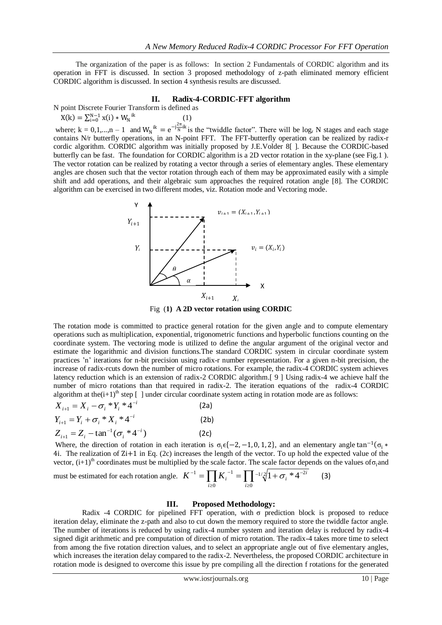The organization of the paper is as follows: In section 2 Fundamentals of CORDIC algorithm and its operation in FFT is discussed. In section 3 proposed methodology of z-path eliminated memory efficient CORDIC algorithm is discussed. In section 4 synthesis results are discussed.

#### **II. Radix-4-CORDIC-FFT algorithm**

N point Discrete Fourier Transform is defined as

$$
X(k) = \sum_{i=0}^{N-1} x(i) * W_N^{ik}
$$
 (1)

where;  $k = 0, 1, ..., n - 1$  and  $W_N^{ik} = e^{-j\frac{2\pi}{N}ik}$  is the "twiddle factor". There will be log<sub>r</sub> N stages and each stage contains N/r butterfly operations, in an N-point FFT. The FFT-butterfly operation can be realized by radix-r cordic algorithm. CORDIC algorithm was initially proposed by J.E.Volder 8[ ]. Because the CORDIC-based butterfly can be fast. The foundation for CORDIC algorithm is a 2D vector rotation in the xy-plane (see Fig.1 ). The vector rotation can be realized by rotating a vector through a series of elementary angles. These elementary angles are chosen such that the vector rotation through each of them may be approximated easily with a simple shift and add operations, and their algebraic sum approaches the required rotation angle [8]. The CORDIC algorithm can be exercised in two different modes, viz. Rotation mode and Vectoring mode.



Fig (**1) A 2D vector rotation using CORDIC**

The rotation mode is committed to practice general rotation for the given angle and to compute elementary operations such as multiplication, exponential, trigonometric functions and hyperbolic functions counting on the coordinate system. The vectoring mode is utilized to define the angular argument of the original vector and estimate the logarithmic and division functions.The standard CORDIC system in circular coordinate system practices 'n' iterations for n-bit precision using radix-r number representation. For a given n-bit precision, the increase of radix-rcuts down the number of micro rotations. For example, the radix-4 CORDIC system achieves latency reduction which is an extension of radix-2 CORDIC algorithm.[ 9 ] Using radix-4 we achieve half the number of micro rotations than that required in radix-2. The iteration equations of the radix-4 CORDIC algorithm at the $(i+1)^{th}$  step [ ] under circular coordinate system acting in rotation mode are as follows:

$$
X_{i+1} = X_i - \sigma_i * Y_i * 4^{-i}
$$
 (2a)  
\n
$$
Y_{i+1} = Y_i + \sigma_i * X_i * 4^{-i}
$$
 (2b)  
\n
$$
Z_{i+1} = Z_i - \tan^{-1}(\sigma_i * 4^{-i})
$$
 (2c)

Where, the direction of rotation in each iteration is  $\sigma_i \in \{-2, -1, 0, 1, 2\}$ , and an elementary angle tan<sup>-1</sup>( $\sigma_i$  \* 4i. The realization of Zi+1 in Eq. (2c) increases the length of the vector. To up hold the expected value of the vector,  $(i+1)$ <sup>th</sup> coordinates must be multiplied by the scale factor. The scale factor depends on the values of  $\sigma$ <sub>i</sub> and

must be estimated for each rotation angle. 
$$
K^{-1} = \prod_{i\geq 0} K_i^{-1} = \prod_{i\geq 0} -1/2 \sqrt[3]{1 + \sigma_i * 4^{-2i}}
$$
 (3)

#### **III. Proposed Methodology:**

Radix -4 CORDIC for pipelined FFT operation, with σ prediction block is proposed to reduce iteration delay, eliminate the z-path and also to cut down the memory required to store the twiddle factor angle. The number of iterations is reduced by using radix-4 number system and iteration delay is reduced by radix-4 signed digit arithmetic and pre computation of direction of micro rotation. The radix-4 takes more time to select from among the five rotation direction values, and to select an appropriate angle out of five elementary angles, which increases the iteration delay compared to the radix-2. Nevertheless, the proposed CORDIC architecture in rotation mode is designed to overcome this issue by pre compiling all the direction f rotations for the generated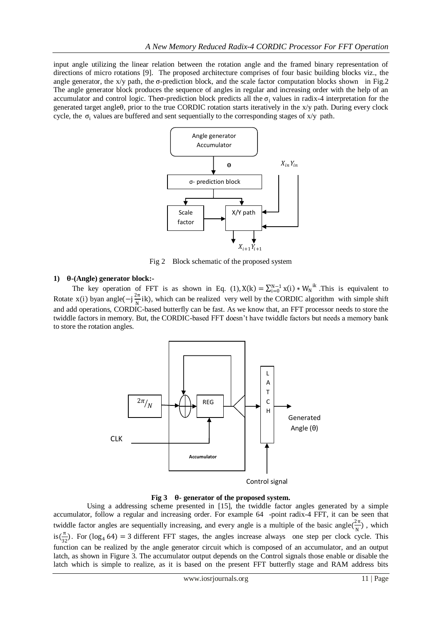input angle utilizing the linear relation between the rotation angle and the framed binary representation of directions of micro rotations [9]. The proposed architecture comprises of four basic building blocks viz., the angle generator, the x/y path, the  $\sigma$ -prediction block, and the scale factor computation blocks shown in Fig.2 The angle generator block produces the sequence of angles in regular and increasing order with the help of an accumulator and control logic. Theo-prediction block predicts all the  $\sigma_i$  values in radix-4 interpretation for the generated target angleθ, prior to the true CORDIC rotation starts iteratively in the x/y path. During every clock cycle, the  $\sigma_i$  values are buffered and sent sequentially to the corresponding stages of  $x/y$  path.



Fig 2 Block schematic of the proposed system

## **1) -(Angle) generator block:-**

The key operation of FFT is as shown in Eq. (1),  $X(k) = \sum_{i=0}^{N-1} x(i) * W_N^{ik}$ . This is equivalent to Rotate x(i) byan angle( $-i\frac{2\pi}{N}$  $\frac{\partial H}{\partial N}$  ik), which can be realized very well by the CORDIC algorithm with simple shift and add operations, CORDIC-based butterfly can be fast. As we know that, an FFT processor needs to store the twiddle factors in memory. But, the CORDIC-based FFT doesn't have twiddle factors but needs a memory bank to store the rotation angles.



**Fig 3 - generator of the proposed system.**

 Using a addressing scheme presented in [15], the twiddle factor angles generated by a simple accumulator, follow a regular and increasing order. For example 64 -point radix-4 FFT, it can be seen that twiddle factor angles are sequentially increasing, and every angle is a multiple of the basic angle $(\frac{2\pi}{N})$  $\frac{2\pi}{N}$ ), which  $is(\frac{\pi}{\sigma})$  $\frac{\pi}{32}$ ). For (log<sub>4</sub> 64) = 3 different FFT stages, the angles increase always one step per clock cycle. This function can be realized by the angle generator circuit which is composed of an accumulator, and an output latch, as shown in Figure 3. The accumulator output depends on the Control signals those enable or disable the latch which is simple to realize, as it is based on the present FFT butterfly stage and RAM address bits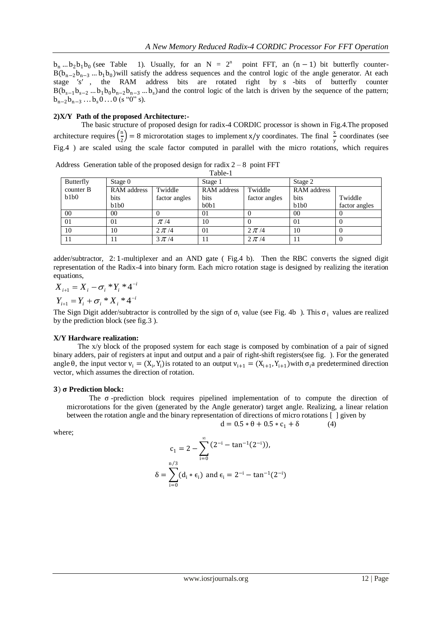$b_n$  ...  $b_2b_1b_0$  (see Table (see Table 1). Usually, for an  $N = 2^n$  point FFT, an  $(n - 1)$  bit butterfly counter- $B(b_{n-2}b_{n-3} \dots b_1b_0)$  will satisfy the address sequences and the control logic of the angle generator. At each stage ′s′ , the RAM address bits are rotated right by s -bits of butterfly counter  $B(b_{s-1}b_{s-2}...b_1b_0b_{n-2}b_{n-3}...b_s)$  and the control logic of the latch is driven by the sequence of the pattern;  $b_{n-2}b_{n-3}...b_s0...0$  (s "0" s).

## **2)X/Y Path of the proposed Architecture:-**

 The basic structure of proposed design for radix-4 CORDIC processor is shown in Fig.4.The proposed architecture requires  $\left(\frac{n}{2}\right)$  $\left(\frac{n}{2}\right)$  = 8 microrotation stages to implement x/y coordinates. The final  $\frac{x}{y}$  coordinates (see Fig.4 ) are scaled using the scale factor computed in parallel with the micro rotations, which requires

| Table-1   |                    |               |             |               |                    |               |  |  |  |
|-----------|--------------------|---------------|-------------|---------------|--------------------|---------------|--|--|--|
| Butterfly | Stage $0$          |               | Stage 1     |               | Stage 2            |               |  |  |  |
| counter B | <b>RAM</b> address | Twiddle       | RAM address | Twiddle       | <b>RAM</b> address |               |  |  |  |
| b1b0      | bits               | factor angles | bits        | factor angles | bits               | Twiddle       |  |  |  |
|           | b1b0               |               | b0b1        |               | b1b0               | factor angles |  |  |  |
| 00        | 00                 |               | 01          |               | 00                 | v             |  |  |  |
| 01        | 01                 | $\pi/4$       | 10          |               | $\Omega$           | O             |  |  |  |
| 10        | 10                 | $2 \pi/4$     | 01          | $2 \pi/4$     | 10                 |               |  |  |  |
|           | 11                 | $3 \pi/4$     |             | $2 \pi/4$     |                    | O             |  |  |  |

Address Generation table of the proposed design for radix  $2 - 8$  point FFT

adder/subtractor, 2: 1-multiplexer and an AND gate ( Fig.4 b). Then the RBC converts the signed digit representation of the Radix-4 into binary form. Each micro rotation stage is designed by realizing the iteration equations,

 $X_{i+1} = X_i - \sigma_i * Y_i * 4^{-i}$  $Y_{i+1} = Y_i + \sigma_i * X_i * 4^{-i}$ 

The Sign Digit adder/subtractor is controlled by the sign of  $\sigma_i$  value (see Fig. 4b). This  $\sigma_i$  values are realized by the prediction block (see fig.3 ).

## **X/Y Hardware realization:**

The  $x/y$  block of the proposed system for each stage is composed by combination of a pair of signed binary adders, pair of registers at input and output and a pair of right-shift registers(see fig. ). For the generated angle  $\theta$ , the input vector  $v_i = (X_i, Y_i)$  is rotated to an output  $v_{i+1} = (X_{i+1}, Y_{i+1})$  with  $\sigma_i$  a predetermined direction vector, which assumes the direction of rotation.

#### ) **Prediction block:**

The  $\sigma$ -prediction block requires pipelined implementation of to compute the direction of microrotations for the given (generated by the Angle generator) target angle. Realizing, a linear relation between the rotation angle and the binary representation of directions of micro rotations [ ] given by

 $d = 0.5 * \theta + 0.5 * c_1 + \delta$  (4)

where;

$$
c_1 = 2 - \sum_{i=0}^{\infty} (2^{-i} - \tan^{-1}(2^{-i})),
$$
  

$$
\delta = \sum_{i=0}^{n/3} (d_i * \epsilon_i) \text{ and } \epsilon_i = 2^{-i} - \tan^{-1}(2^{-i})
$$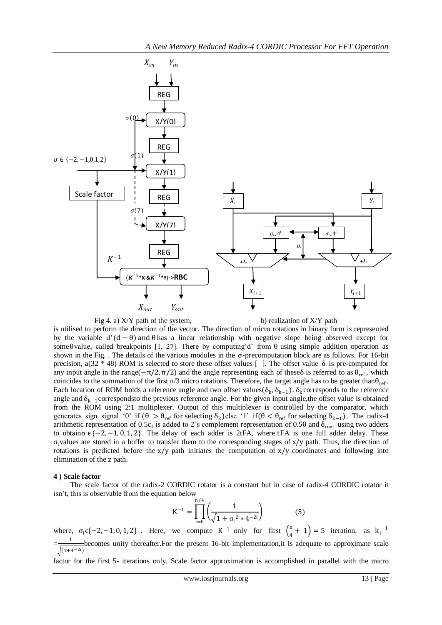

Fig 4. a)  $X/Y$  path of the system, b) realization of  $X/Y$  path

is utilised to perform the direction of the vector. The direction of micro rotations in binary form is represented by the variable d' (d − θ) and θ has a linear relationship with negative slope being observed except for some θvalue, called breakpoints [1, 27]. There by computing 'd' from  $\theta$  using simple addition operation as shown in the Fig. . The details of the various modules in the σ-precomputation block are as follows. For 16-bit precision, a(32 \* 48) ROM is selected to store these offset values []. The offset value δ is pre-computed for any input angle in the range( $-\pi/2$ ,  $\pi/2$ ) and the angle representing each of theseδ is referred to as  $\theta_{ref}$ , which coincides to the summation of the first n/3 micro rotations. Therefore, the target angle has to be greater than $\theta_{ref}$ . Each location of ROM holds a reference angle and two offset values( $\delta_k$ ,  $\delta_{k-1}$ ).  $\delta_k$  corresponds to the reference angle and  $\delta_{k-1}$ correspondsto the previous reference angle. For the given input angle, the offset value is obtained from the ROM using 2:1 multiplexer. Output of this multiplexer is controlled by the comparator, which generates sign signal '0' if  $(\theta > \theta_{ref}$  for selecting  $\delta_k$ ) else '1' if $(\theta < \theta_{ref}$  for selecting  $\delta_{k-1})$ . The radix-4 arithmetic representation of 0.5c<sub>1</sub> is added to 2's complement representation of 0.50 and  $\delta_{\rm rom}$  using two adders to obtain  $\sigma \in \{-2, -1, 0, 1, 2\}$ . The delay of each adder is 2tFA, where tFA is one full adder delay. These  $\sigma_i$  values are stored in a buffer to transfer them to the corresponding stages of x/y path. Thus, the direction of rotations is predicted before the  $x/y$  path initiates the computation of  $x/y$  coordinates and following into elimination of the z path.

#### **4 ) Scale factor**

 The scale factor of the radix-2 CORDIC rotator is a constant but in case of radix-4 CORDIC rotator it isn't, this is observable from the equation below

$$
K^{-1} = \prod_{i=0}^{n/4} \left( \frac{1}{\sqrt{1 + \sigma_i^2 * 4^{-2i}}} \right)
$$
 (5)

where,  $\sigma_i \in \{-2, -1, 0, 1, 2\}$ . Here, we compute K<sup>-1</sup> only for first  $\left(\frac{n}{4}\right)$  $\left(\frac{n}{4}+1\right)$  = 5 iteration, as  $k_i^{-1}$  $=\frac{1}{\sqrt{1-\frac{1}{2}}}$  $(1+4-2i)$ becomes unity thereafter.For the present 16-bit implementation,it is adequate to approximate scale

factor for the first 5- iterations only. Scale factor approximation is accomplished in parallel with the micro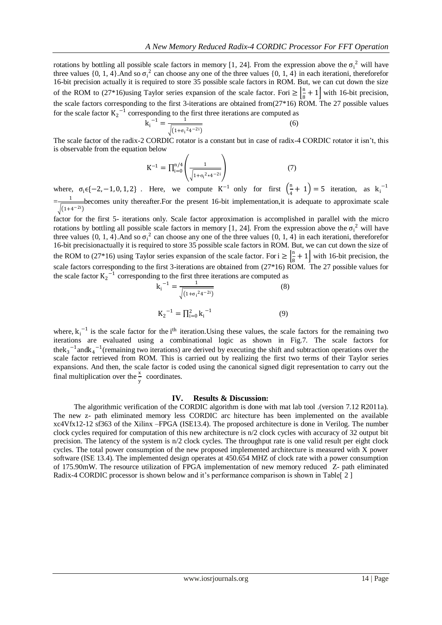rotations by bottling all possible scale factors in memory [1, 24]. From the expression above the  $\sigma_i^2$  will have three values  $\{0, 1, 4\}$ . And so  $\sigma_i^2$  can choose any one of the three values  $\{0, 1, 4\}$  in each iterationi, thereforefor 16-bit precision actually it is required to store 35 possible scale factors in ROM. But, we can cut down the size of the ROM to  $(27*16)$ using Taylor series expansion of the scale factor. Fori  $\geq \left| \frac{n}{6} + 1 \right|$  with 16-bit precision, the scale factors corresponding to the first 3-iterations are obtained from( $27*16$ ) ROM. The 27 possible values for the scale factor  $K_2^{-1}$  corresponding to the first three iterations are computed as

$$
k_i^{-1} = \frac{1}{\sqrt{(1+\sigma_i^2 4^{-2i})}}
$$
 (6)

The scale factor of the radix-2 CORDIC rotator is a constant but in case of radix-4 CORDIC rotator it isn't, this is observable from the equation below

$$
K^{-1} = \prod_{i=0}^{n/4} \left( \frac{1}{\sqrt{1 + \sigma_i^2 * 4^{-2i}}} \right)
$$
 (7)

where,  $\sigma_i \in \{-2, -1, 0, 1, 2\}$ . Here, we compute K<sup>-1</sup> only for first  $\left(\frac{n}{4}\right)$  $\left(\frac{n}{4}+1\right)$  = 5 iteration, as  $k_i^{-1}$  $=\frac{1}{\sqrt{1-\frac{1}{2}}}$  $(1+4^{-2i})$ becomes unity thereafter.For the present 16-bit implementation,it is adequate to approximate scale

factor for the first 5- iterations only. Scale factor approximation is accomplished in parallel with the micro rotations by bottling all possible scale factors in memory [1, 24]. From the expression above the  $\sigma_i^2$  will have three values  $\{0, 1, 4\}$ . And so  $\sigma_i^2$  can choose any one of the three values  $\{0, 1, 4\}$  in each iterationi, thereforefor 16-bit precisionactually it is required to store 35 possible scale factors in ROM. But, we can cut down the size of the ROM to (27\*16) using Taylor series expansion of the scale factor. For  $i \geq \frac{n}{6}$  $\frac{1}{8} + 1$  with 16-bit precision, the scale factors corresponding to the first 3-iterations are obtained from (27\*16) ROM. The 27 possible values for the scale factor  $K_2$ <sup>-1</sup> corresponding to the first three iterations are computed as

$$
k_{i}^{-1} = \frac{1}{\sqrt{(1 + \sigma_{i}^{2} 4^{-2i})}}
$$
(8)  

$$
K_{2}^{-1} = \prod_{i=0}^{2} k_{i}^{-1}
$$
(9)

where,  $k_i^{-1}$  is the scale factor for the i<sup>th</sup> iteration. Using these values, the scale factors for the remaining two iterations are evaluated using a combinational logic as shown in Fig.7. The scale factors for thek<sub>3</sub><sup>-1</sup> andk<sub>4</sub><sup>-1</sup> (remaining two iterations) are derived by executing the shift and subtraction operations over the scale factor retrieved from ROM. This is carried out by realizing the first two terms of their Taylor series expansions. And then, the scale factor is coded using the canonical signed digit representation to carry out the final multiplication over the  $\frac{x}{y}$  coordinates.

#### **IV. Results & Discussion:**

 The algorithmic verification of the CORDIC algorithm is done with mat lab tool .(version 7.12 R2011a). The new z- path eliminated memory less CORDIC arc hitecture has been implemented on the available xc4Vfx12-12 sf363 of the Xilinx –FPGA (ISE13.4). The proposed architecture is done in Verilog. The number clock cycles required for computation of this new architecture is n/2 clock cycles with accuracy of 32 output bit precision. The latency of the system is n/2 clock cycles. The throughput rate is one valid result per eight clock cycles. The total power consumption of the new proposed implemented architecture is measured with X power software (ISE 13.4). The implemented design operates at 450.654 MHZ of clock rate with a power consumption of 175.90mW. The resource utilization of FPGA implementation of new memory reduced Z- path eliminated Radix-4 CORDIC processor is shown below and it's performance comparison is shown in Table[ 2 ]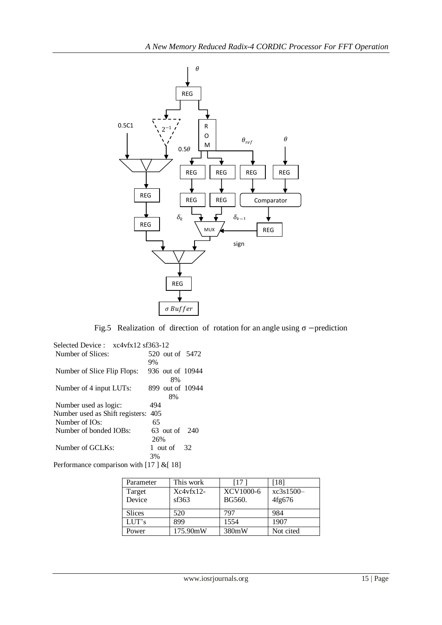

Fig.5 Realization of direction of rotation for an angle using  $\sigma$  −prediction

| Selected Device: xc4vfx12 sf363-12 |                         |
|------------------------------------|-------------------------|
| Number of Slices:                  | 520 out of 5472         |
|                                    | 9%                      |
| Number of Slice Flip Flops:        | 936 out of 10944        |
|                                    | 8%                      |
| Number of 4 input LUTs:            | 899 out of 10944        |
|                                    | 8%                      |
| Number used as logic:              | 494                     |
| Number used as Shift registers:    | 405                     |
| Number of IO <sub>s</sub> :        | 65                      |
| Number of bonded IOBs:             | 63 out of 240           |
|                                    | 26%                     |
| Number of GCLKs:                   | 1 out of $\frac{32}{2}$ |
|                                    | 3%                      |
|                                    |                         |

Performance comparison with [17] & [18]

| Parameter     | This work   | [17]      | [18]      |
|---------------|-------------|-----------|-----------|
| Target        | $Xc4vfx12-$ | XCV1000-6 | xc3s1500- |
| Device        | sf363       | BG560.    | 4fg676    |
|               |             |           |           |
| <b>Slices</b> | 520         | 797       | 984       |
| LUT's         | 899         | 1554      | 1907      |
| Power         | 175.90mW    | 380mW     | Not cited |